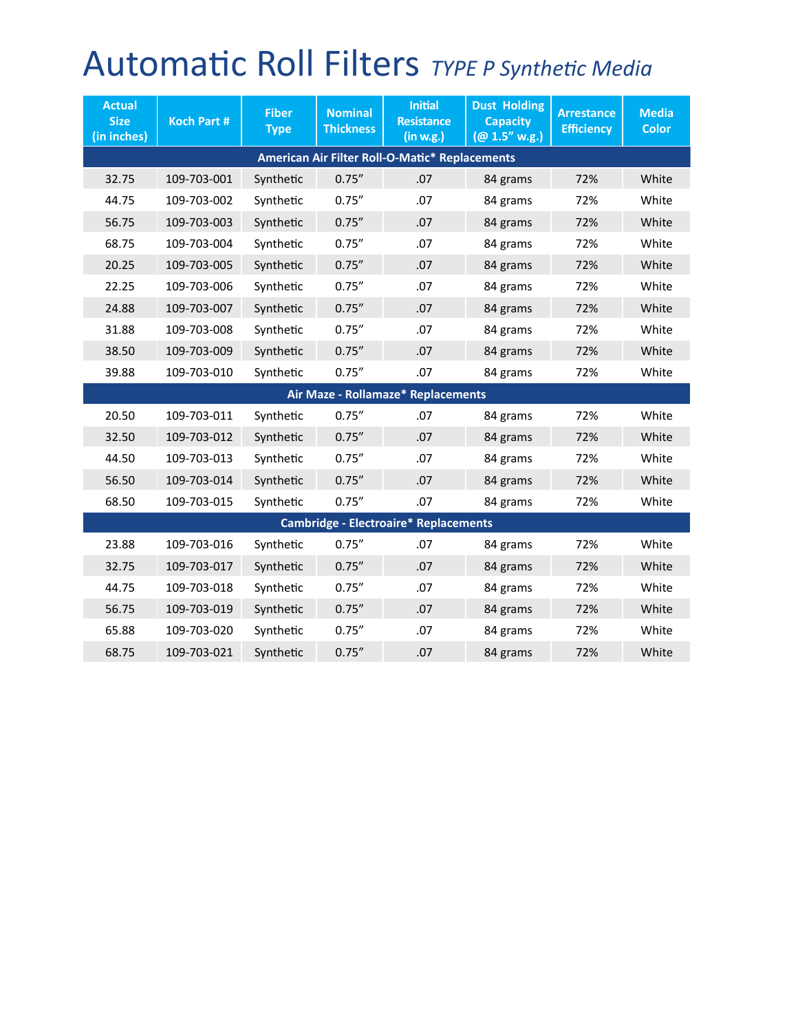## Automatic Roll Filters *TYPE P Synthetic Media*

| <b>Actual</b><br><b>Size</b><br>(in inches)    | <b>Koch Part #</b> | <b>Fiber</b><br><b>Type</b> | <b>Nominal</b><br><b>Thickness</b> | <b>Initial</b><br><b>Resistance</b><br>(in w.g.) | <b>Dust Holding</b><br><b>Capacity</b><br>(@ 1.5" w.g.) | <b>Arrestance</b><br><b>Efficiency</b> | <b>Media</b><br><b>Color</b> |  |  |
|------------------------------------------------|--------------------|-----------------------------|------------------------------------|--------------------------------------------------|---------------------------------------------------------|----------------------------------------|------------------------------|--|--|
| American Air Filter Roll-O-Matic* Replacements |                    |                             |                                    |                                                  |                                                         |                                        |                              |  |  |
| 32.75                                          | 109-703-001        | Synthetic                   | 0.75''                             | .07                                              | 84 grams                                                | 72%                                    | White                        |  |  |
| 44.75                                          | 109-703-002        | Synthetic                   | 0.75''                             | .07                                              | 84 grams                                                | 72%                                    | White                        |  |  |
| 56.75                                          | 109-703-003        | Synthetic                   | 0.75''                             | .07                                              | 84 grams                                                | 72%                                    | White                        |  |  |
| 68.75                                          | 109-703-004        | Synthetic                   | 0.75''                             | .07                                              | 84 grams                                                | 72%                                    | White                        |  |  |
| 20.25                                          | 109-703-005        | Synthetic                   | 0.75''                             | .07                                              | 84 grams                                                | 72%                                    | White                        |  |  |
| 22.25                                          | 109-703-006        | Synthetic                   | 0.75''                             | .07                                              | 84 grams                                                | 72%                                    | White                        |  |  |
| 24.88                                          | 109-703-007        | Synthetic                   | 0.75''                             | .07                                              | 84 grams                                                | 72%                                    | White                        |  |  |
| 31.88                                          | 109-703-008        | Synthetic                   | 0.75''                             | .07                                              | 84 grams                                                | 72%                                    | White                        |  |  |
| 38.50                                          | 109-703-009        | Synthetic                   | 0.75''                             | .07                                              | 84 grams                                                | 72%                                    | White                        |  |  |
| 39.88                                          | 109-703-010        | Synthetic                   | 0.75''                             | .07                                              | 84 grams                                                | 72%                                    | White                        |  |  |
| Air Maze - Rollamaze* Replacements             |                    |                             |                                    |                                                  |                                                         |                                        |                              |  |  |
| 20.50                                          | 109-703-011        | Synthetic                   | 0.75''                             | .07                                              | 84 grams                                                | 72%                                    | White                        |  |  |
| 32.50                                          | 109-703-012        | Synthetic                   | 0.75''                             | .07                                              | 84 grams                                                | 72%                                    | White                        |  |  |
| 44.50                                          | 109-703-013        | Synthetic                   | 0.75''                             | .07                                              | 84 grams                                                | 72%                                    | White                        |  |  |
| 56.50                                          | 109-703-014        | Synthetic                   | 0.75''                             | .07                                              | 84 grams                                                | 72%                                    | White                        |  |  |
| 68.50                                          | 109-703-015        | Synthetic                   | 0.75''                             | .07                                              | 84 grams                                                | 72%                                    | White                        |  |  |
| <b>Cambridge - Electroaire* Replacements</b>   |                    |                             |                                    |                                                  |                                                         |                                        |                              |  |  |
| 23.88                                          | 109-703-016        | Synthetic                   | 0.75''                             | .07                                              | 84 grams                                                | 72%                                    | White                        |  |  |
| 32.75                                          | 109-703-017        | Synthetic                   | 0.75''                             | .07                                              | 84 grams                                                | 72%                                    | White                        |  |  |
| 44.75                                          | 109-703-018        | Synthetic                   | 0.75''                             | .07                                              | 84 grams                                                | 72%                                    | White                        |  |  |
| 56.75                                          | 109-703-019        | Synthetic                   | 0.75''                             | .07                                              | 84 grams                                                | 72%                                    | White                        |  |  |
| 65.88                                          | 109-703-020        | Synthetic                   | 0.75''                             | .07                                              | 84 grams                                                | 72%                                    | White                        |  |  |
| 68.75                                          | 109-703-021        | Synthetic                   | 0.75''                             | .07                                              | 84 grams                                                | 72%                                    | White                        |  |  |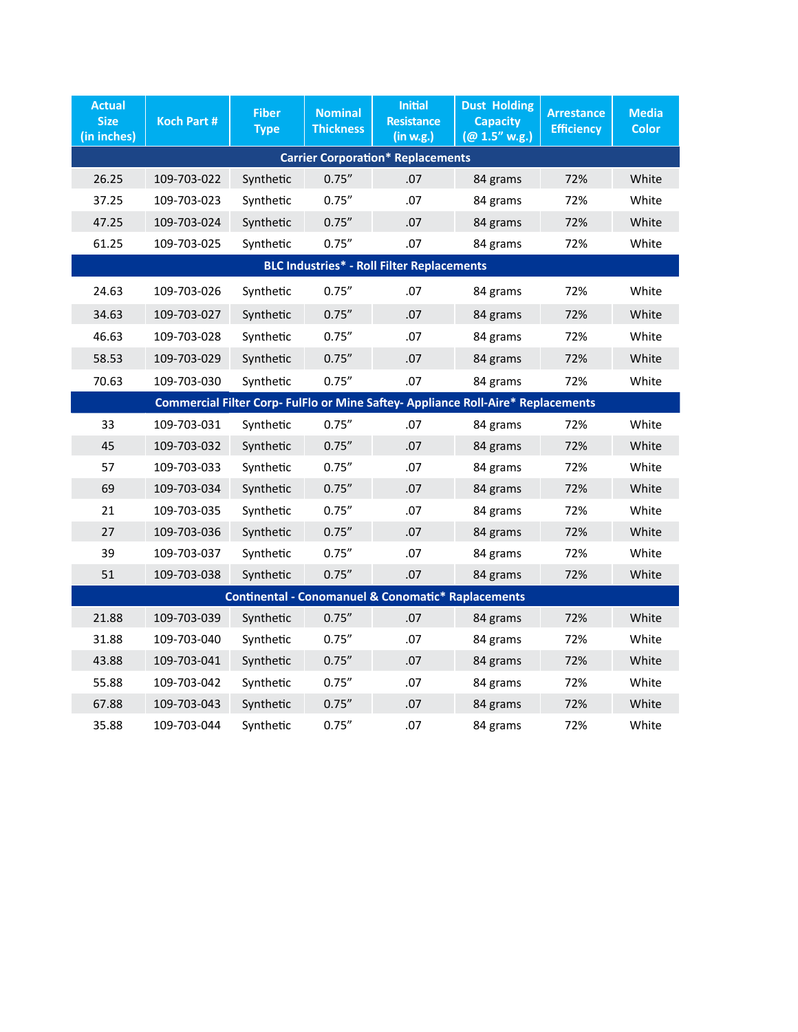| <b>Actual</b><br><b>Size</b><br>(in inches)                                      | <b>Koch Part #</b> | <b>Fiber</b><br><b>Type</b> | <b>Nominal</b><br><b>Thickness</b> | <b>Initial</b><br><b>Resistance</b><br>(in w.g.) | <b>Dust Holding</b><br><b>Capacity</b><br>(@ 1.5" w.g.) | <b>Arrestance</b><br><b>Efficiency</b> | <b>Media</b><br><b>Color</b> |  |  |
|----------------------------------------------------------------------------------|--------------------|-----------------------------|------------------------------------|--------------------------------------------------|---------------------------------------------------------|----------------------------------------|------------------------------|--|--|
| <b>Carrier Corporation* Replacements</b>                                         |                    |                             |                                    |                                                  |                                                         |                                        |                              |  |  |
| 26.25                                                                            | 109-703-022        | Synthetic                   | 0.75''                             | .07                                              | 84 grams                                                | 72%                                    | White                        |  |  |
| 37.25                                                                            | 109-703-023        | Synthetic                   | 0.75''                             | .07                                              | 84 grams                                                | 72%                                    | White                        |  |  |
| 47.25                                                                            | 109-703-024        | Synthetic                   | 0.75''                             | .07                                              | 84 grams                                                | 72%                                    | White                        |  |  |
| 61.25                                                                            | 109-703-025        | Synthetic                   | 0.75''                             | .07                                              | 84 grams                                                | 72%                                    | White                        |  |  |
| <b>BLC Industries* - Roll Filter Replacements</b>                                |                    |                             |                                    |                                                  |                                                         |                                        |                              |  |  |
| 24.63                                                                            | 109-703-026        | Synthetic                   | 0.75''                             | .07                                              | 84 grams                                                | 72%                                    | White                        |  |  |
| 34.63                                                                            | 109-703-027        | Synthetic                   | 0.75''                             | .07                                              | 84 grams                                                | 72%                                    | White                        |  |  |
| 46.63                                                                            | 109-703-028        | Synthetic                   | 0.75''                             | .07                                              | 84 grams                                                | 72%                                    | White                        |  |  |
| 58.53                                                                            | 109-703-029        | Synthetic                   | 0.75''                             | .07                                              | 84 grams                                                | 72%                                    | White                        |  |  |
| 70.63                                                                            | 109-703-030        | Synthetic                   | 0.75''                             | .07                                              | 84 grams                                                | 72%                                    | White                        |  |  |
| Commercial Filter Corp- FulFlo or Mine Saftey- Appliance Roll-Aire* Replacements |                    |                             |                                    |                                                  |                                                         |                                        |                              |  |  |
| 33                                                                               | 109-703-031        | Synthetic                   | 0.75''                             | .07                                              | 84 grams                                                | 72%                                    | White                        |  |  |
| 45                                                                               | 109-703-032        | Synthetic                   | 0.75''                             | .07                                              | 84 grams                                                | 72%                                    | White                        |  |  |
| 57                                                                               | 109-703-033        | Synthetic                   | 0.75''                             | .07                                              | 84 grams                                                | 72%                                    | White                        |  |  |
| 69                                                                               | 109-703-034        | Synthetic                   | 0.75''                             | .07                                              | 84 grams                                                | 72%                                    | White                        |  |  |
| 21                                                                               | 109-703-035        | Synthetic                   | 0.75''                             | .07                                              | 84 grams                                                | 72%                                    | White                        |  |  |
| 27                                                                               | 109-703-036        | Synthetic                   | 0.75''                             | .07                                              | 84 grams                                                | 72%                                    | White                        |  |  |
| 39                                                                               | 109-703-037        | Synthetic                   | 0.75''                             | .07                                              | 84 grams                                                | 72%                                    | White                        |  |  |
| 51                                                                               | 109-703-038        | Synthetic                   | 0.75''                             | .07                                              | 84 grams                                                | 72%                                    | White                        |  |  |
| <b>Continental - Conomanuel &amp; Conomatic* Raplacements</b>                    |                    |                             |                                    |                                                  |                                                         |                                        |                              |  |  |
| 21.88                                                                            | 109-703-039        | Synthetic                   | 0.75''                             | .07                                              | 84 grams                                                | 72%                                    | White                        |  |  |
| 31.88                                                                            | 109-703-040        | Synthetic                   | 0.75''                             | .07                                              | 84 grams                                                | 72%                                    | White                        |  |  |
| 43.88                                                                            | 109-703-041        | Synthetic                   | 0.75''                             | .07                                              | 84 grams                                                | 72%                                    | White                        |  |  |
| 55.88                                                                            | 109-703-042        | Synthetic                   | 0.75''                             | .07                                              | 84 grams                                                | 72%                                    | White                        |  |  |
| 67.88                                                                            | 109-703-043        | Synthetic                   | 0.75''                             | .07                                              | 84 grams                                                | 72%                                    | White                        |  |  |
| 35.88                                                                            | 109-703-044        | Synthetic                   | 0.75''                             | .07                                              | 84 grams                                                | 72%                                    | White                        |  |  |